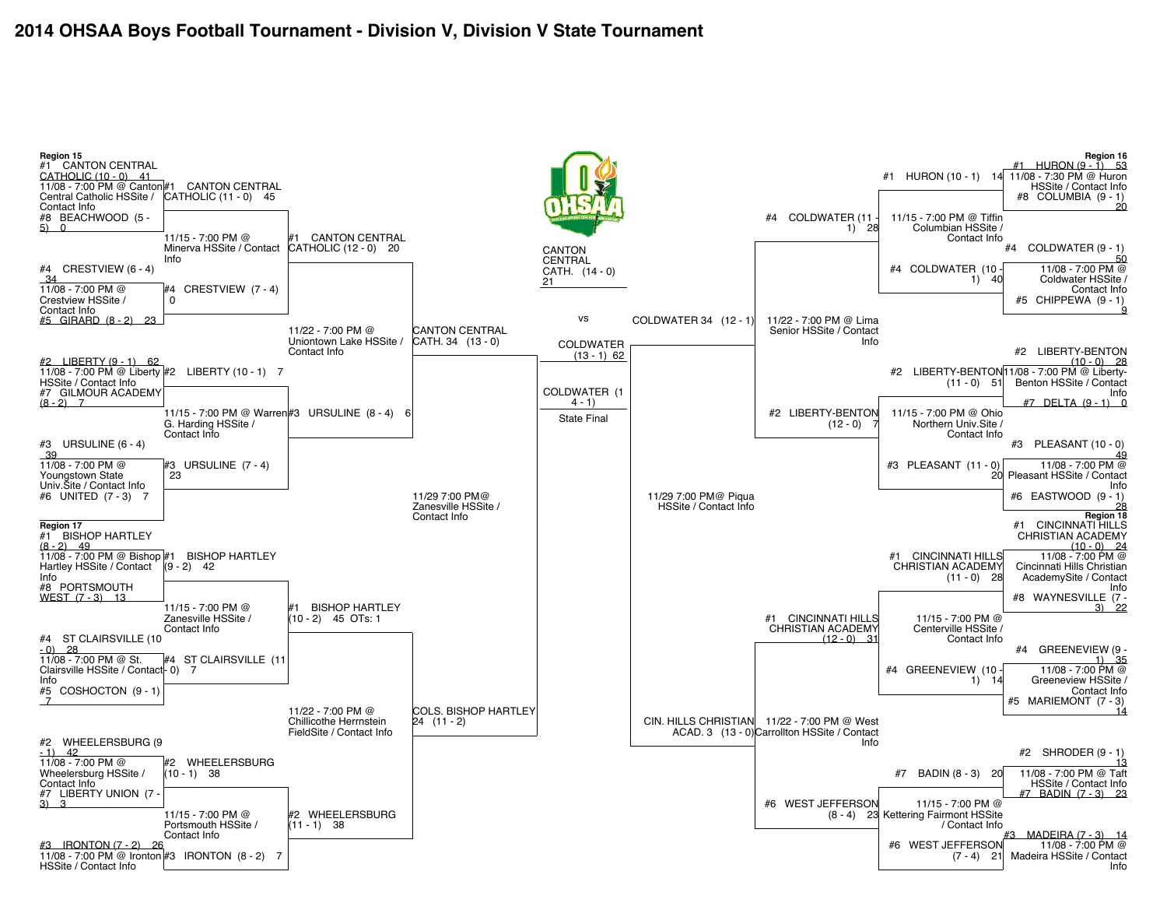